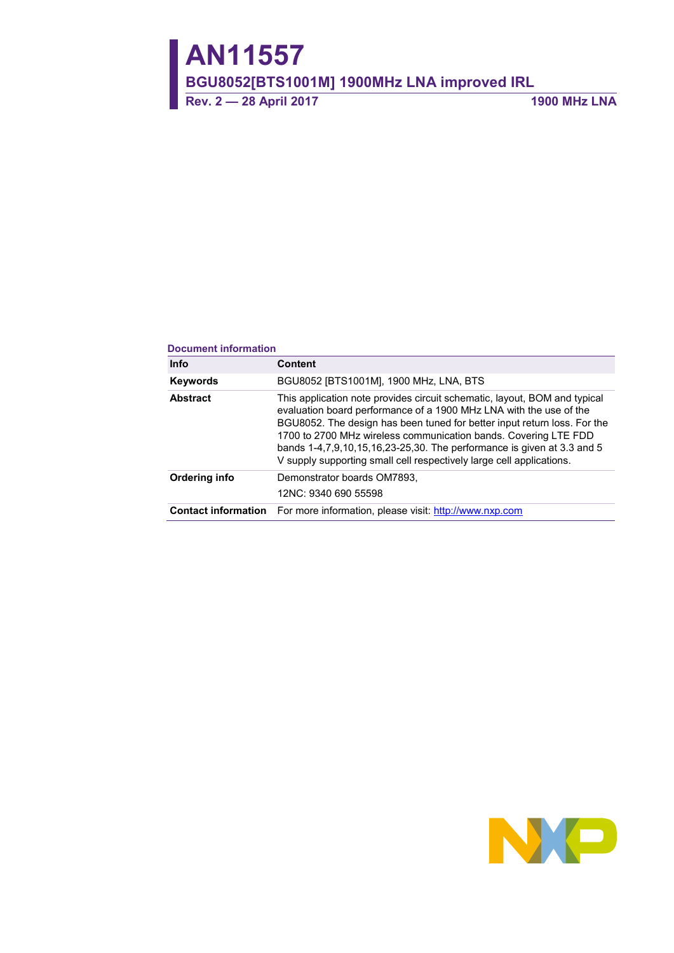# **AN11557**

**BGU8052[BTS1001M] 1900MHz LNA improved IRL**

**Rev. 2 — 28 April 2017 1900 MHz LNA**

#### **Document information**

| <b>Info</b>     | <b>Content</b>                                                                                                                                                                                                                                                                                                                                                                                                                                          |
|-----------------|---------------------------------------------------------------------------------------------------------------------------------------------------------------------------------------------------------------------------------------------------------------------------------------------------------------------------------------------------------------------------------------------------------------------------------------------------------|
| Keywords        | BGU8052 [BTS1001M], 1900 MHz, LNA, BTS                                                                                                                                                                                                                                                                                                                                                                                                                  |
| <b>Abstract</b> | This application note provides circuit schematic, layout, BOM and typical<br>evaluation board performance of a 1900 MHz LNA with the use of the<br>BGU8052. The design has been tuned for better input return loss. For the<br>1700 to 2700 MHz wireless communication bands. Covering LTE FDD<br>bands 1-4, 7, 9, 10, 15, 16, 23-25, 30. The performance is given at 3.3 and 5<br>V supply supporting small cell respectively large cell applications. |
| Ordering info   | Demonstrator boards OM7893.<br>12NC: 9340 690 55598                                                                                                                                                                                                                                                                                                                                                                                                     |
|                 | <b>Contact information</b> For more information, please visit: http://www.nxp.com                                                                                                                                                                                                                                                                                                                                                                       |

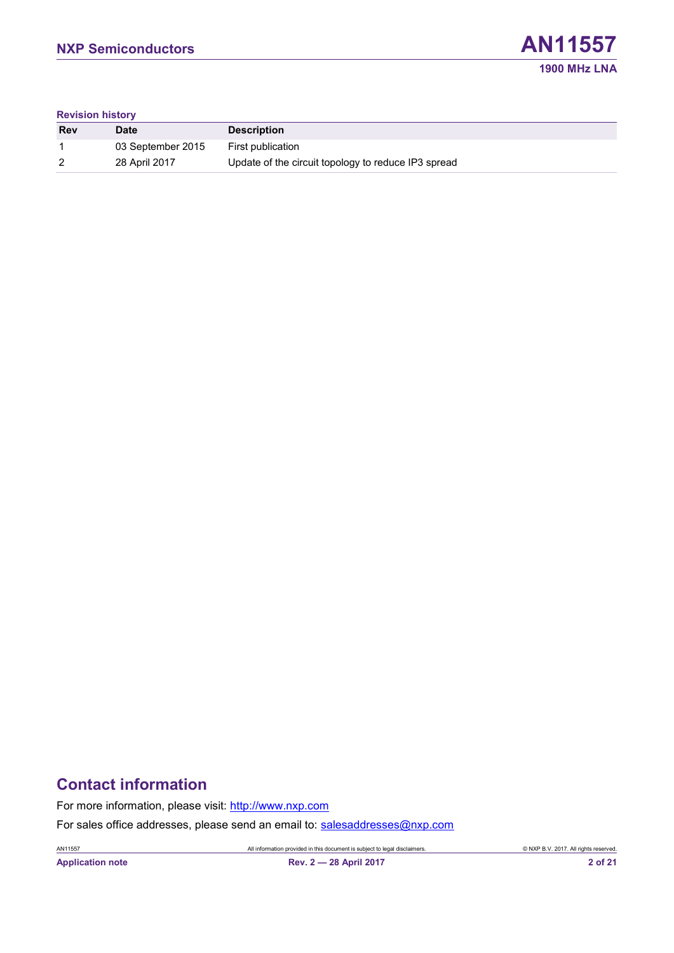

#### **Revision history**

| <b>Rev</b> | <b>Date</b>       | <b>Description</b>                                  |
|------------|-------------------|-----------------------------------------------------|
|            | 03 September 2015 | First publication                                   |
| 2          | 28 April 2017     | Update of the circuit topology to reduce IP3 spread |

# **Contact information**

For more information, please visit: [http://www.nxp.com](http://www.nxp.com/)

For sales office addresses, please send an email to: [salesaddresses@nxp.com](mailto:salesaddresses@nxp.com)

AN11557 All information provided in this document is subject to legal disclaimers. © NXP B.V. 2017. All rights reserved.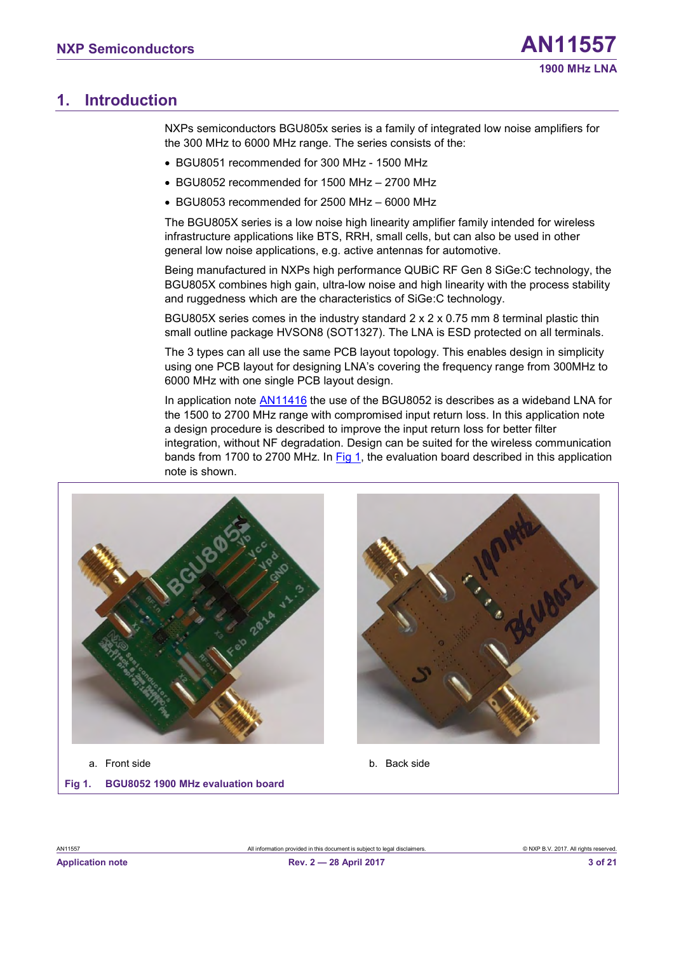## <span id="page-2-2"></span>**1. Introduction**

NXPs semiconductors BGU805x series is a family of integrated low noise amplifiers for the 300 MHz to 6000 MHz range. The series consists of the:

- BGU8051 recommended for 300 MHz 1500 MHz
- BGU8052 recommended for 1500 MHz 2700 MHz
- BGU8053 recommended for 2500 MHz 6000 MHz

The BGU805X series is a low noise high linearity amplifier family intended for wireless infrastructure applications like BTS, RRH, small cells, but can also be used in other general low noise applications, e.g. active antennas for automotive.

Being manufactured in NXPs high performance QUBiC RF Gen 8 SiGe:C technology, the BGU805X combines high gain, ultra-low noise and high linearity with the process stability and ruggedness which are the characteristics of SiGe:C technology.

BGU805X series comes in the industry standard 2 x 2 x 0.75 mm 8 terminal plastic thin small outline package HVSON8 (SOT1327). The LNA is ESD protected on all terminals.

The 3 types can all use the same PCB layout topology. This enables design in simplicity using one PCB layout for designing LNA's covering the frequency range from 300MHz to 6000 MHz with one single PCB layout design.

In application note [AN11416](http://www.nxp.com/documents/application_note/AN11416.pdf) the use of the BGU8052 is describes as a wideband LNA for the 1500 to 2700 MHz range with compromised input return loss. In this application note a design procedure is described to improve the input return loss for better filter integration, without NF degradation. Design can be suited for the wireless communication bands from 1700 to 2700 MHz. In [Fig 1,](#page-2-0) the evaluation board described in this application note is shown.





<span id="page-2-1"></span><span id="page-2-0"></span>**Fig 1. BGU8052 1900 MHz evaluation board**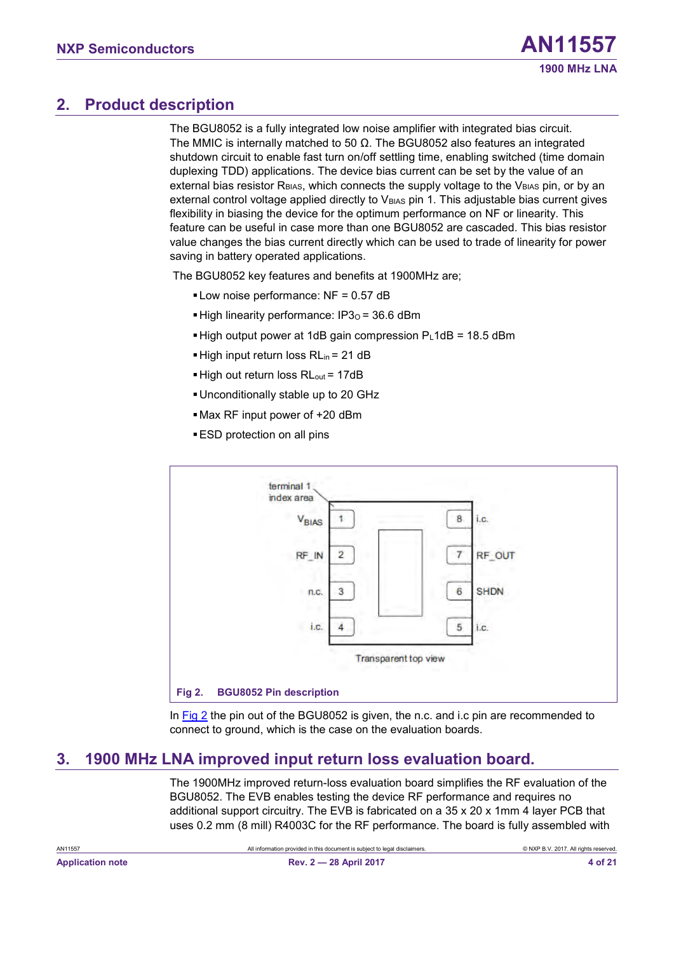# <span id="page-3-2"></span>**2. Product description**

The BGU8052 is a fully integrated low noise amplifier with integrated bias circuit. The MMIC is internally matched to 50  $\Omega$ . The BGU8052 also features an integrated shutdown circuit to enable fast turn on/off settling time, enabling switched (time domain duplexing TDD) applications. The device bias current can be set by the value of an external bias resistor  $R<sub>BIAS</sub>$ , which connects the supply voltage to the  $V<sub>BIAS</sub>$  pin, or by an external control voltage applied directly to  $V_{BIAS}$  pin 1. This adjustable bias current gives flexibility in biasing the device for the optimum performance on NF or linearity. This feature can be useful in case more than one BGU8052 are cascaded. This bias resistor value changes the bias current directly which can be used to trade of linearity for power saving in battery operated applications.

The BGU8052 key features and benefits at 1900MHz are;

- $\blacksquare$  Low noise performance: NF = 0.57 dB
- $\blacktriangleright$  High linearity performance: IP3 $o = 36.6$  dBm
- $\blacktriangleright$  High output power at 1dB gain compression PL1dB = 18.5 dBm
- High input return loss RL<sub>in</sub> = 21 dB
- $\blacksquare$  High out return loss RL<sub>out</sub> = 17dB
- ▪Unconditionally stable up to 20 GHz
- ▪Max RF input power of +20 dBm
- ESD protection on all pins



<span id="page-3-1"></span><span id="page-3-0"></span>In  $Fig 2$  the pin out of the BGU8052 is given, the n.c. and i.c pin are recommended to connect to ground, which is the case on the evaluation boards.

# <span id="page-3-3"></span>**3. 1900 MHz LNA improved input return loss evaluation board.**

The 1900MHz improved return-loss evaluation board simplifies the RF evaluation of the BGU8052. The EVB enables testing the device RF performance and requires no additional support circuitry. The EVB is fabricated on a 35 x 20 x 1mm 4 layer PCB that uses 0.2 mm (8 mill) R4003C for the RF performance. The board is fully assembled with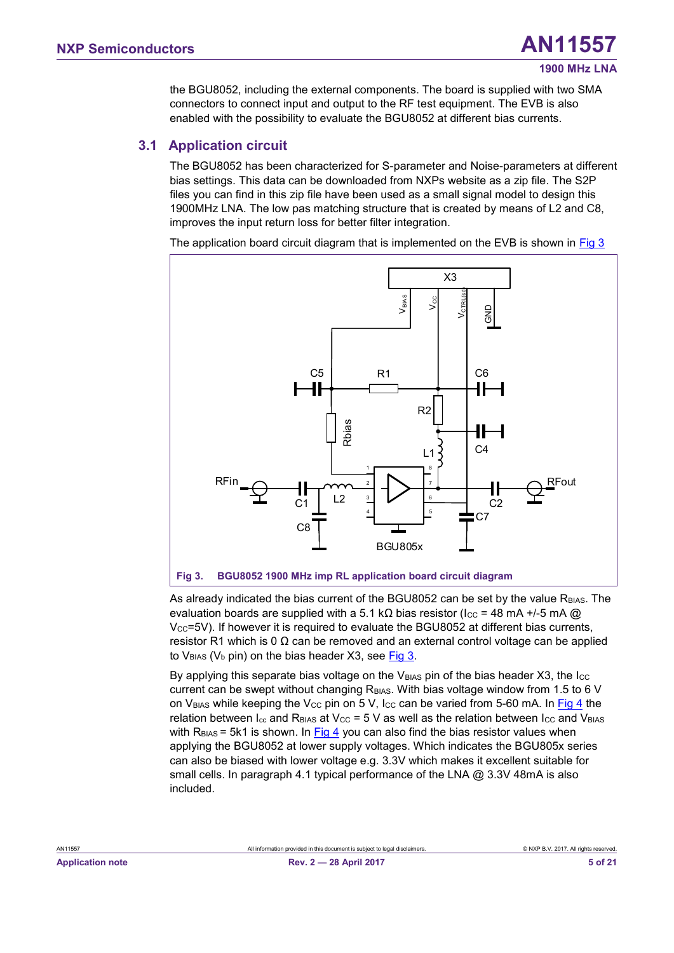<span id="page-4-2"></span>the BGU8052, including the external components. The board is supplied with two SMA connectors to connect input and output to the RF test equipment. The EVB is also enabled with the possibility to evaluate the BGU8052 at different bias currents.

#### **3.1 Application circuit**

The BGU8052 has been characterized for S-parameter and Noise-parameters at different bias settings. This data can be downloaded from NXPs website as a zip file. The S2P files you can find in this zip file have been used as a small signal model to design this 1900MHz LNA. The low pas matching structure that is created by means of L2 and C8, improves the input return loss for better filter integration.

The application board circuit diagram that is implemented on the EVB is shown in  $Fig 3$ 



<span id="page-4-1"></span><span id="page-4-0"></span>As already indicated the bias current of the BGU8052 can be set by the value R<sub>BIAS</sub>. The evaluation boards are supplied with a 5.1 kΩ bias resistor ( $\text{Icc} = 48 \text{ mA} +$ /-5 mA @  $V_{CC}$ =5V). If however it is required to evaluate the BGU8052 at different bias currents, resistor R1 which is 0  $\Omega$  can be removed and an external control voltage can be applied to  $V_{BIAS}$  ( $V_b$  pin) on the bias header X3, see [Fig 3.](#page-4-0)

By applying this separate bias voltage on the  $V_{\text{BAS}}$  pin of the bias header X3, the I $\text{cc}$ current can be swept without changing  $R<sub>BIAS</sub>$ . With bias voltage window from 1.5 to 6 V on V<sub>BIAS</sub> while keeping the V<sub>CC</sub> pin on 5 V, I<sub>CC</sub> can be varied from 5-60 mA. In [Fig 4](#page-5-0) the relation between  $I_{cc}$  and R<sub>BIAS</sub> at V<sub>CC</sub> = 5 V as well as the relation between  $I_{CC}$  and V<sub>BIAS</sub> with  $R<sub>BIAS</sub> = 5k1$  is shown. In  $Fig 4$  you can also find the bias resistor values when</u> applying the BGU8052 at lower supply voltages. Which indicates the BGU805x series can also be biased with lower voltage e.g. 3.3V which makes it excellent suitable for small cells. In paragraph 4.1 typical performance of the LNA @ 3.3V 48mA is also included.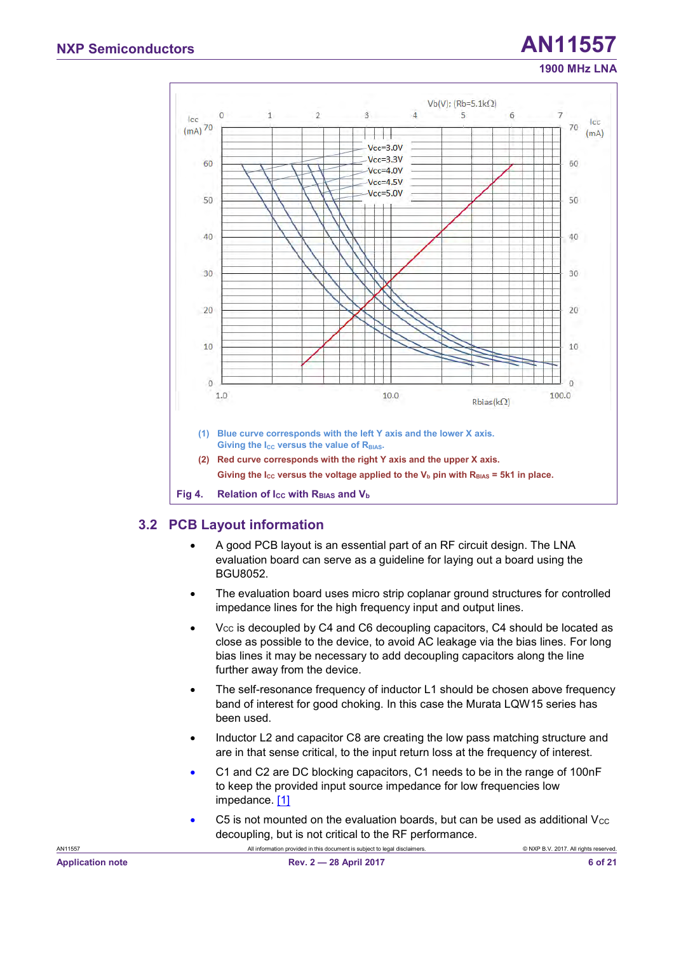# **1900 MHz LNA**



#### <span id="page-5-2"></span><span id="page-5-1"></span><span id="page-5-0"></span>**3.2 PCB Layout information**

- A good PCB layout is an essential part of an RF circuit design. The LNA evaluation board can serve as a guideline for laying out a board using the BGU8052.
- The evaluation board uses micro strip coplanar ground structures for controlled impedance lines for the high frequency input and output lines.
- $V_{CC}$  is decoupled by C4 and C6 decoupling capacitors, C4 should be located as close as possible to the device, to avoid AC leakage via the bias lines. For long bias lines it may be necessary to add decoupling capacitors along the line further away from the device.
- The self-resonance frequency of inductor L1 should be chosen above frequency band of interest for good choking. In this case the Murata LQW15 series has been used.
- Inductor L2 and capacitor C8 are creating the low pass matching structure and are in that sense critical, to the input return loss at the frequency of interest.
- C1 and C2 are DC blocking capacitors, C1 needs to be in the range of 100nF to keep the provided input source impedance for low frequencies low impedance. [\[1\]](#page-16-0)
- $\bullet$  C5 is not mounted on the evaluation boards, but can be used as additional V $\rm{cc}$ decoupling, but is not critical to the RF performance.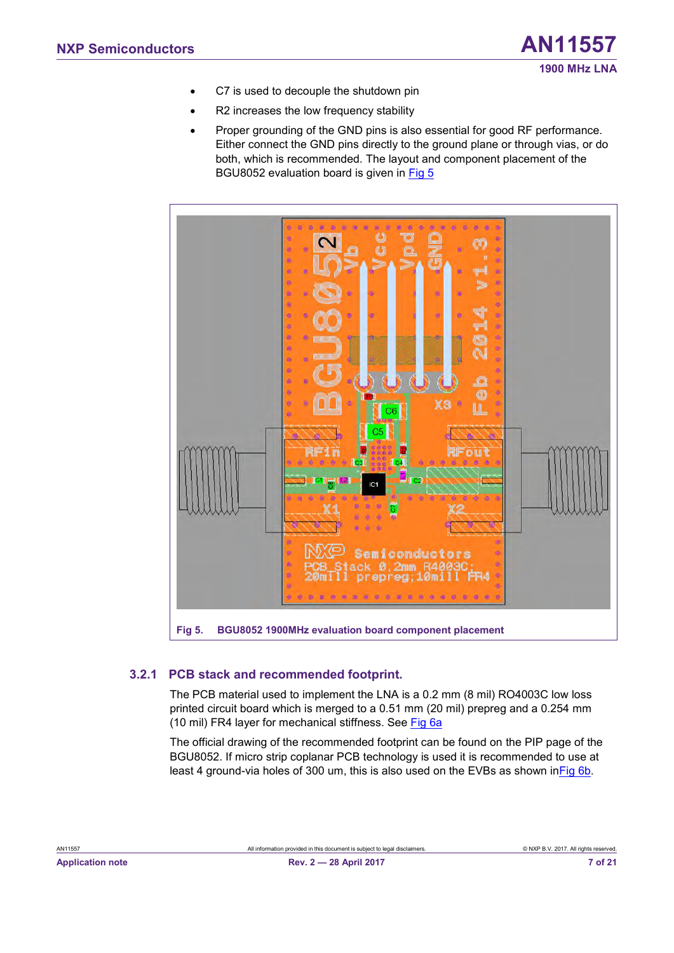- C7 is used to decouple the shutdown pin
- R2 increases the low frequency stability
- Proper grounding of the GND pins is also essential for good RF performance. Either connect the GND pins directly to the ground plane or through vias, or do both, which is recommended. The layout and component placement of the BGU8052 evaluation board is given in [Fig 5](#page-6-0)



## <span id="page-6-2"></span><span id="page-6-1"></span><span id="page-6-0"></span>**3.2.1 PCB stack and recommended footprint.**

The PCB material used to implement the LNA is a 0.2 mm (8 mil) RO4003C low loss printed circuit board which is merged to a 0.51 mm (20 mil) prepreg and a 0.254 mm (10 mil) FR4 layer for mechanical stiffness. See [Fig 6a](#page-7-0)

The official drawing of the recommended footprint can be found on the PIP page of the BGU8052. If micro strip coplanar PCB technology is used it is recommended to use at least 4 ground-via holes of 300 um, this is also used on the EVBs as shown i[nFig 6b](#page-7-0).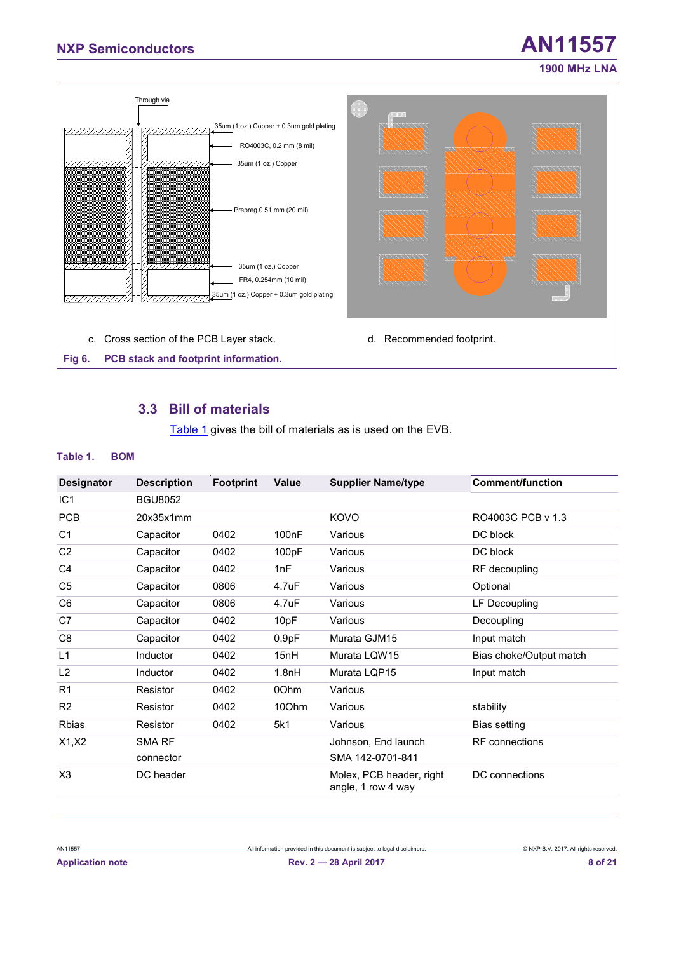# **NXP Semiconductors AN11557**



#### <span id="page-7-4"></span><span id="page-7-3"></span><span id="page-7-2"></span><span id="page-7-1"></span><span id="page-7-0"></span>**3.3 Bill of materials**

[Table 1](#page-7-1) gives the bill of materials as is used on the EVB.

#### **Table 1. BOM**

|                   |                    |                  | Value              |                                                | <b>Comment/function</b> |
|-------------------|--------------------|------------------|--------------------|------------------------------------------------|-------------------------|
| <b>Designator</b> | <b>Description</b> | <b>Footprint</b> |                    | <b>Supplier Name/type</b>                      |                         |
| IC <sub>1</sub>   | <b>BGU8052</b>     |                  |                    |                                                |                         |
| <b>PCB</b>        | 20x35x1mm          |                  |                    | <b>KOVO</b>                                    | RO4003C PCB v 1.3       |
| C <sub>1</sub>    | Capacitor          | 0402             | 100 <sub>n</sub> F | Various                                        | DC block                |
| C <sub>2</sub>    | Capacitor          | 0402             | 100pF              | Various                                        | DC block                |
| C4                | Capacitor          | 0402             | 1nF                | Various                                        | RF decoupling           |
| C <sub>5</sub>    | Capacitor          | 0806             | 4.7uF              | Various                                        | Optional                |
| C <sub>6</sub>    | Capacitor          | 0806             | 4.7uF              | Various                                        | LF Decoupling           |
| C7                | Capacitor          | 0402             | 10pF               | Various                                        | Decoupling              |
| C <sub>8</sub>    | Capacitor          | 0402             | 0.9pF              | Murata GJM15                                   | Input match             |
| L1                | Inductor           | 0402             | 15nH               | Murata LOW15                                   | Bias choke/Output match |
| L <sub>2</sub>    | <b>Inductor</b>    | 0402             | 1.8nH              | Murata LQP15                                   | Input match             |
| R1                | Resistor           | 0402             | 00hm               | Various                                        |                         |
| R <sub>2</sub>    | Resistor           | 0402             | 100hm              | Various                                        | stability               |
| Rbias             | Resistor           | 0402             | 5k1                | Various                                        | Bias setting            |
| X1, X2            | SMA RF             |                  |                    | Johnson, End launch                            | <b>RF</b> connections   |
|                   | connector          |                  |                    | SMA 142-0701-841                               |                         |
| X <sub>3</sub>    | DC header          |                  |                    | Molex, PCB header, right<br>angle, 1 row 4 way | DC connections          |
|                   |                    |                  |                    |                                                |                         |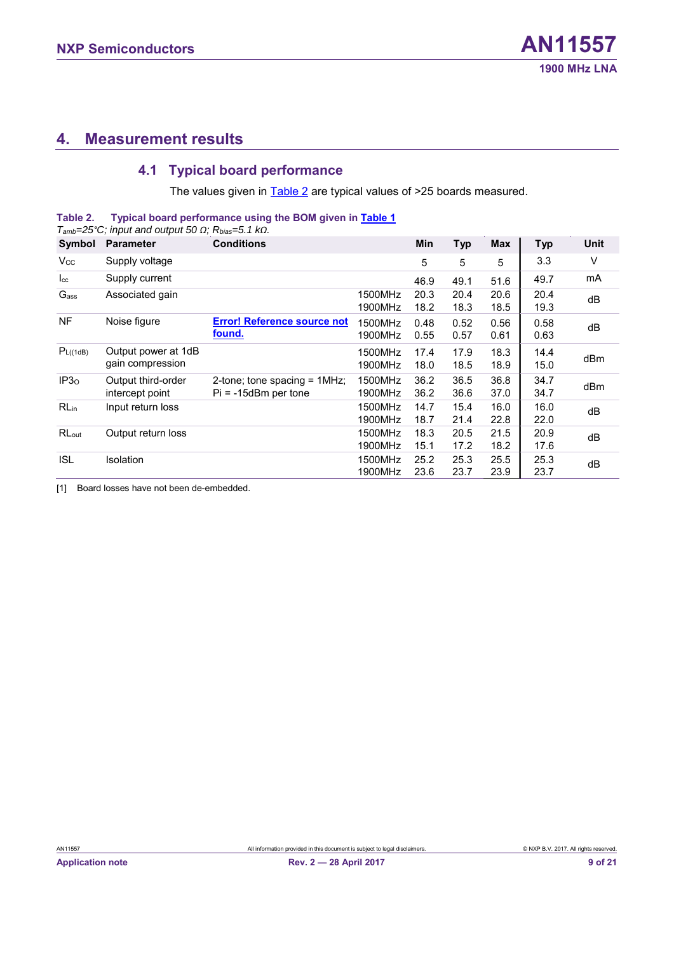# <span id="page-8-2"></span>**4. Measurement results**

#### <span id="page-8-3"></span><span id="page-8-1"></span><span id="page-8-0"></span>**4.1 Typical board performance**

The values given in **Table 2** are typical values of >25 boards measured.

**Table 2. Typical board performance using the BOM given i[n Table 1](#page-7-1)**

| $T_{amb}$ =25°C; input and output 50 $\Omega$ ; Rbias=5.1 k $\Omega$ . |                                         |                                                           |                    |              |              |              |              |             |
|------------------------------------------------------------------------|-----------------------------------------|-----------------------------------------------------------|--------------------|--------------|--------------|--------------|--------------|-------------|
| Symbol                                                                 | <b>Parameter</b>                        | <b>Conditions</b>                                         |                    | Min          | <b>Typ</b>   | <b>Max</b>   | <b>Typ</b>   | <b>Unit</b> |
| <b>V<sub>cc</sub></b>                                                  | Supply voltage                          |                                                           |                    | 5            | 5            | 5            | 3.3          | V           |
| $I_{\rm cc}$                                                           | Supply current                          |                                                           |                    | 46.9         | 49.1         | 51.6         | 49.7         | mA          |
| Gass                                                                   | Associated gain                         |                                                           | 1500MHz<br>1900MHz | 20.3<br>18.2 | 20.4<br>18.3 | 20.6<br>18.5 | 20.4<br>19.3 | dB          |
| <b>NF</b>                                                              | Noise figure                            | <b>Error! Reference source not</b><br>found.              | 1500MHz<br>1900MHz | 0.48<br>0.55 | 0.52<br>0.57 | 0.56<br>0.61 | 0.58<br>0.63 | dB          |
| P <sub>L((1dB)</sub>                                                   | Output power at 1dB<br>gain compression |                                                           | 1500MHz<br>1900MHz | 17.4<br>18.0 | 17.9<br>18.5 | 18.3<br>18.9 | 14.4<br>15.0 | dBm         |
| IP3 <sub>0</sub>                                                       | Output third-order<br>intercept point   | 2-tone; tone spacing = $1MHz$ ;<br>$Pi = -15dBm$ per tone | 1500MHz<br>1900MHz | 36.2<br>36.2 | 36.5<br>36.6 | 36.8<br>37.0 | 34.7<br>34.7 | dBm         |
| <b>RLin</b>                                                            | Input return loss                       |                                                           | 1500MHz<br>1900MHz | 14.7<br>18.7 | 15.4<br>21.4 | 16.0<br>22.8 | 16.0<br>22.0 | dB          |
| RL <sub>out</sub>                                                      | Output return loss                      |                                                           | 1500MHz<br>1900MHz | 18.3<br>15.1 | 20.5<br>17.2 | 21.5<br>18.2 | 20.9<br>17.6 | dB          |
| <b>ISL</b>                                                             | <b>Isolation</b>                        |                                                           | 1500MHz<br>1900MHz | 25.2<br>23.6 | 25.3<br>23.7 | 25.5<br>23.9 | 25.3<br>23.7 | dB          |

[1] Board losses have not been de-embedded.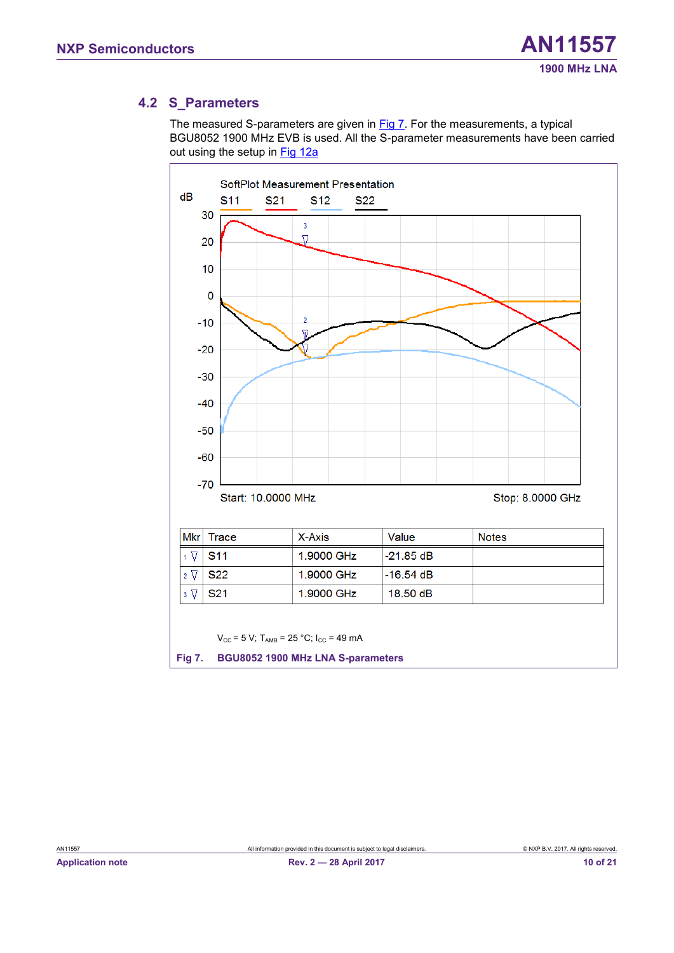#### <span id="page-9-2"></span>**4.2 S\_Parameters**

The measured S-parameters are given in [Fig 7.](#page-9-0) For the measurements, a typical BGU8052 1900 MHz EVB is used. All the S-parameter measurements have been carried out using the setup in [Fig 12a](#page-15-0)

<span id="page-9-1"></span><span id="page-9-0"></span>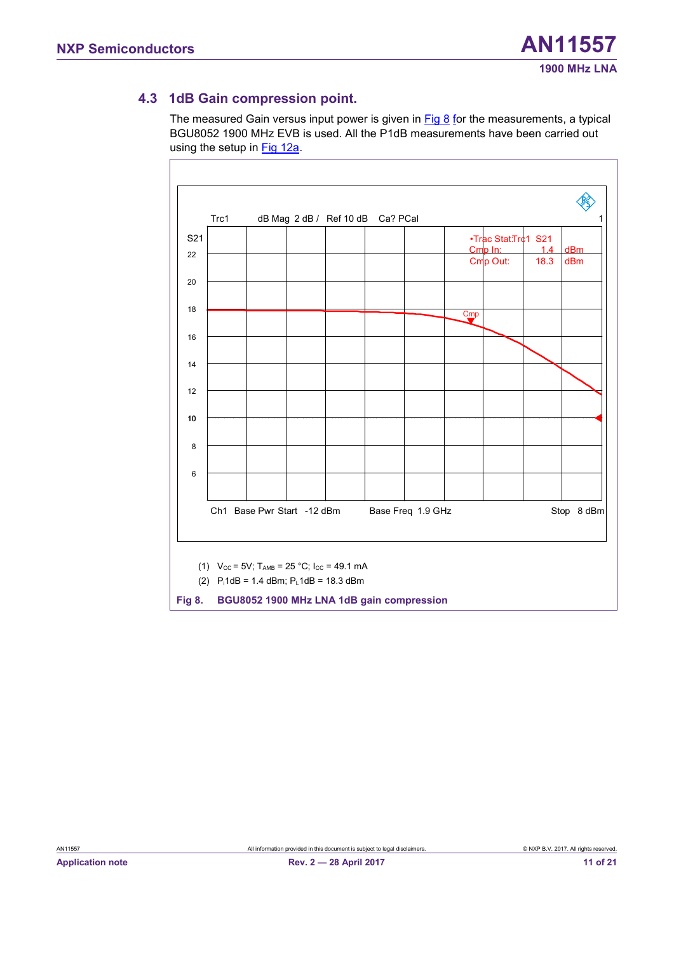#### <span id="page-10-2"></span>**4.3 1dB Gain compression point.**

The measured Gain versus input power is given in [Fig 8](#page-10-0) for the measurements, a typical BGU8052 1900 MHz EVB is used. All the P1dB measurements have been carried out using the setup in [Fig 12a](#page-15-0).

<span id="page-10-1"></span><span id="page-10-0"></span>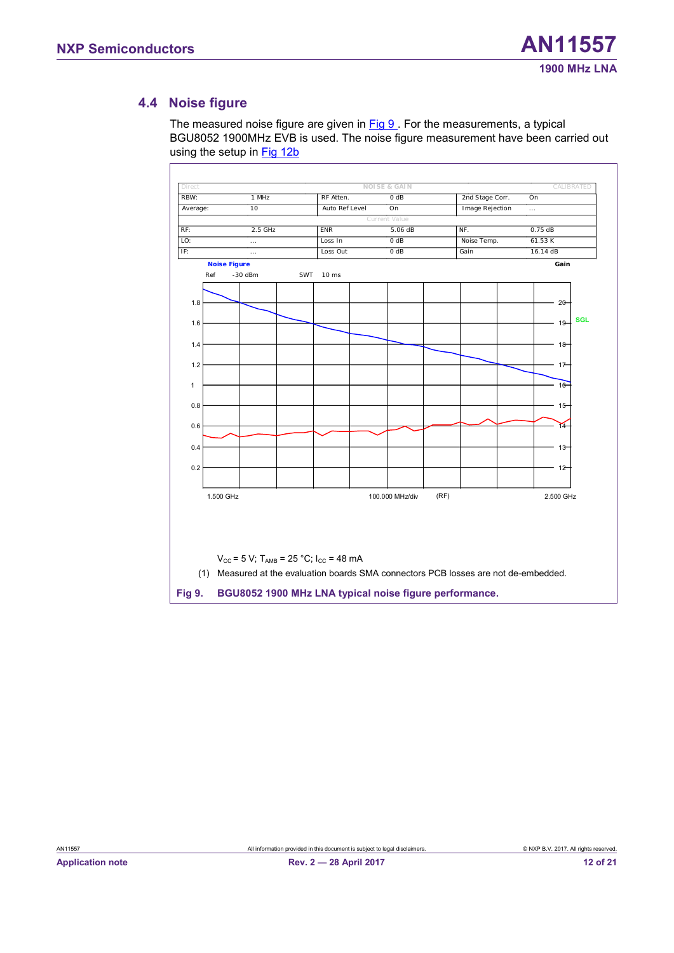#### <span id="page-11-2"></span>**4.4 Noise figure**

The measured noise figure are given in [Fig 9](#page-11-0). For the measurements, a typical BGU8052 1900MHz EVB is used. The noise figure measurement have been carried out using the setup in **Fig 12b** 

<span id="page-11-1"></span><span id="page-11-0"></span>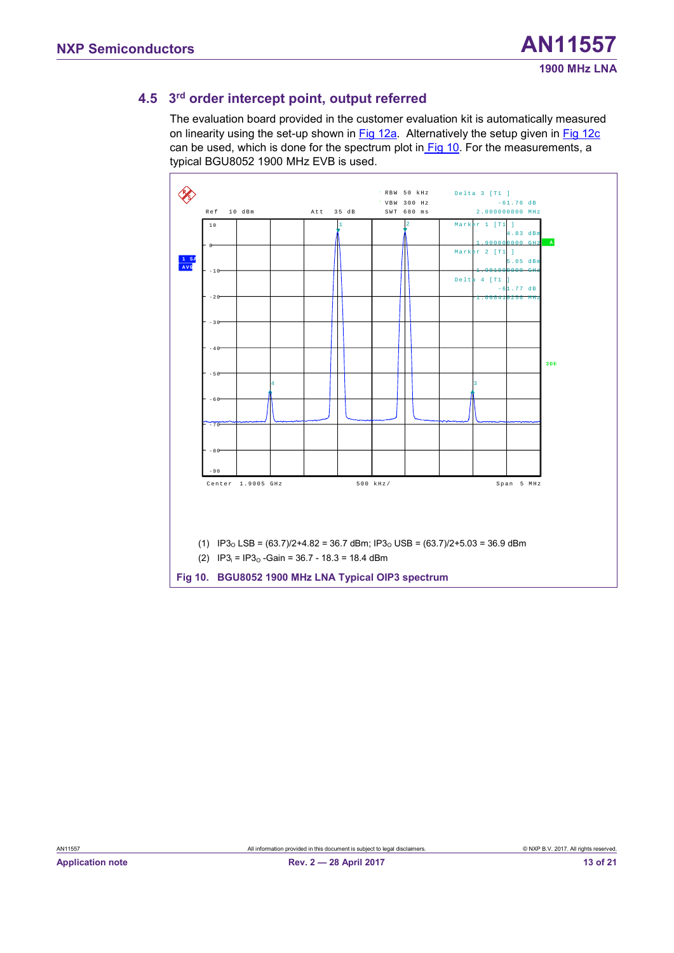#### <span id="page-12-2"></span>**4.5 3 rd order intercept point, output referred**

The evaluation board provided in the customer evaluation kit is automatically measured on linearity using the set-up shown in [Fig 12a.](#page-15-0) Alternatively the setup given in [Fig 12c](#page-15-0) can be used, which is done for the spectrum plot in [Fig 10.](#page-12-0) For the measurements, a typical BGU8052 1900 MHz EVB is used.

<span id="page-12-1"></span><span id="page-12-0"></span>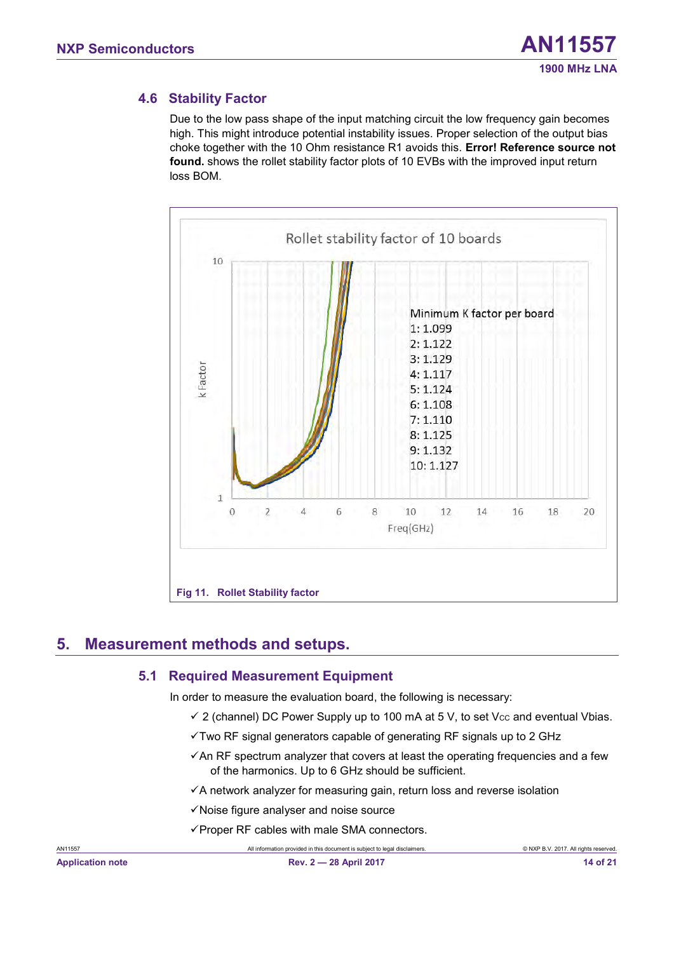#### <span id="page-13-1"></span>**4.6 Stability Factor**

Due to the low pass shape of the input matching circuit the low frequency gain becomes high. This might introduce potential instability issues. Proper selection of the output bias choke together with the 10 Ohm resistance R1 avoids this. **Error! Reference source not found.** shows the rollet stability factor plots of 10 EVBs with the improved input return loss BOM.



# <span id="page-13-2"></span>**5. Measurement methods and setups.**

#### <span id="page-13-3"></span><span id="page-13-0"></span>**5.1 Required Measurement Equipment**

In order to measure the evaluation board, the following is necessary:

- $\checkmark$  2 (channel) DC Power Supply up to 100 mA at 5 V, to set Vcc and eventual Vbias.
- $\checkmark$ Two RF signal generators capable of generating RF signals up to 2 GHz
- $\checkmark$  An RF spectrum analyzer that covers at least the operating frequencies and a few of the harmonics. Up to 6 GHz should be sufficient.
- ✓A network analyzer for measuring gain, return loss and reverse isolation
- ✓Noise figure analyser and noise source
- $\checkmark$  Proper RF cables with male SMA connectors.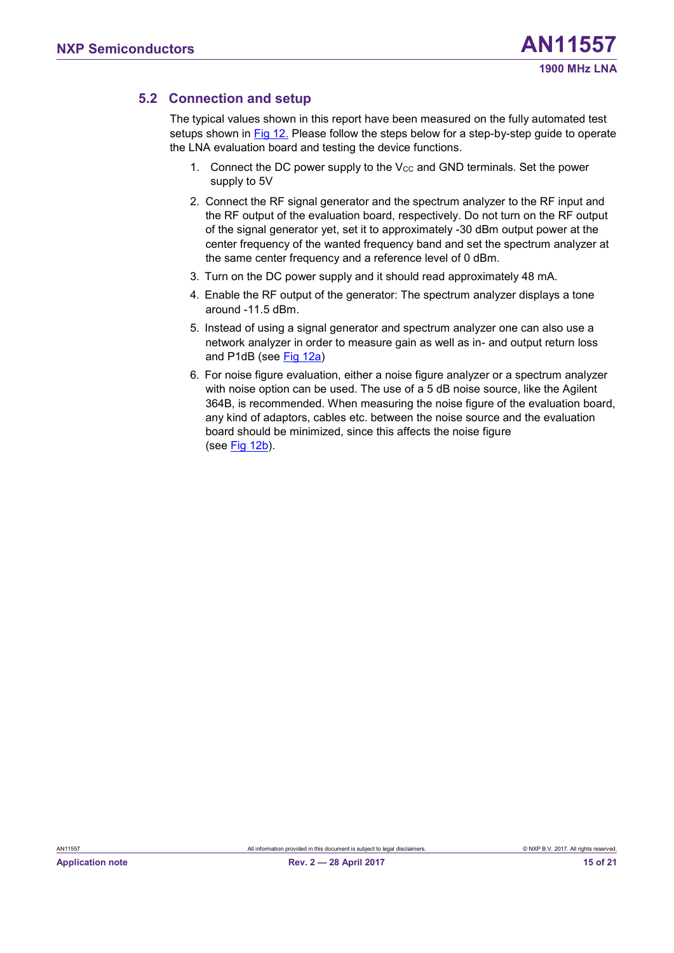#### <span id="page-14-0"></span>**5.2 Connection and setup**

The typical values shown in this report have been measured on the fully automated test setups shown in [Fig 12.](#page-15-0) Please follow the steps below for a step-by-step guide to operate the LNA evaluation board and testing the device functions.

- 1. Connect the DC power supply to the  $V_{CC}$  and GND terminals. Set the power supply to 5V
- 2. Connect the RF signal generator and the spectrum analyzer to the RF input and the RF output of the evaluation board, respectively. Do not turn on the RF output of the signal generator yet, set it to approximately -30 dBm output power at the center frequency of the wanted frequency band and set the spectrum analyzer at the same center frequency and a reference level of 0 dBm.
- 3. Turn on the DC power supply and it should read approximately 48 mA.
- 4. Enable the RF output of the generator: The spectrum analyzer displays a tone around  $-11.5$  dBm.
- 5. Instead of using a signal generator and spectrum analyzer one can also use a network analyzer in order to measure gain as well as in- and output return loss and P1dB (see [Fig 12a\)](#page-15-0)
- 6. For noise figure evaluation, either a noise figure analyzer or a spectrum analyzer with noise option can be used. The use of a 5 dB noise source, like the Agilent 364B, is recommended. When measuring the noise figure of the evaluation board, any kind of adaptors, cables etc. between the noise source and the evaluation board should be minimized, since this affects the noise figure (see  $Fig 12b$ ).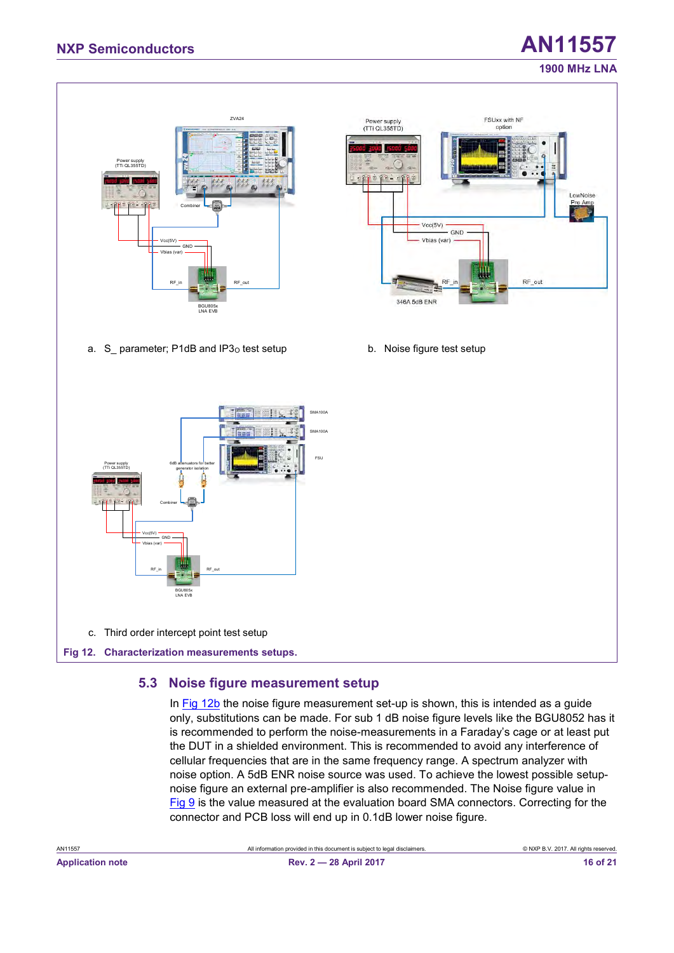# **1900 MHz LNA**

### ZVA24 FSUxx with NF Power supply<br>(TTi QL355TD) optio Power supply (TTi QL355TD) Combiner  $Vcc(5V)$ GND Vbias (var) Vcc(5V) **GND** Vbias (var) RF\_in R F\_out RF\_out R F\_out R F\_out R F\_out R F\_out R F\_out R F\_out R F\_out R F\_out R F\_out R F\_out R F\_out R F \_ out R F\_out R F \_ out R F \_ out R F \_ out R F \_ out R F \_ out R F \_ out R F \_ out R F \_ out R F \_ out R F \_ RF out 346A 5dB ENR BGU805x LNA EVB a. S parameter; P1dB and IP3<sub>O</sub> test setup b. Noise figure test setup SMA100A SMA100A FSU Power supply (TTi QL355TD) 6dB attenuators for better generator isolation Combiner Vcc(5V)  $GND =$ Vbias (var) R F\_in R F\_out R F\_out R F\_out R F\_out R F\_out R F\_out R F\_out R F\_out R F\_out R F\_out R F\_out R F\_out R F\_out R F\_out R F\_out R F\_out R F\_out R F\_out R F\_out R F\_out R F\_out R F\_out R F\_out R F\_out R F\_out R F\_out R F\_out BGU805x LNA EVB c. Third order intercept point test setup **Fig 12. Characterization measurements setups.**

#### <span id="page-15-2"></span><span id="page-15-1"></span><span id="page-15-0"></span>**5.3 Noise figure measurement setup**

In [Fig 12b](#page-15-0) the noise figure measurement set-up is shown, this is intended as a guide only, substitutions can be made. For sub 1 dB noise figure levels like the BGU8052 has it is recommended to perform the noise-measurements in a Faraday's cage or at least put the DUT in a shielded environment. This is recommended to avoid any interference of cellular frequencies that are in the same frequency range. A spectrum analyzer with noise option. A 5dB ENR noise source was used. To achieve the lowest possible setupnoise figure an external pre-amplifier is also recommended. The Noise figure value in [Fig 9](#page-11-0) is the value measured at the evaluation board SMA connectors. Correcting for the connector and PCB loss will end up in 0.1dB lower noise figure.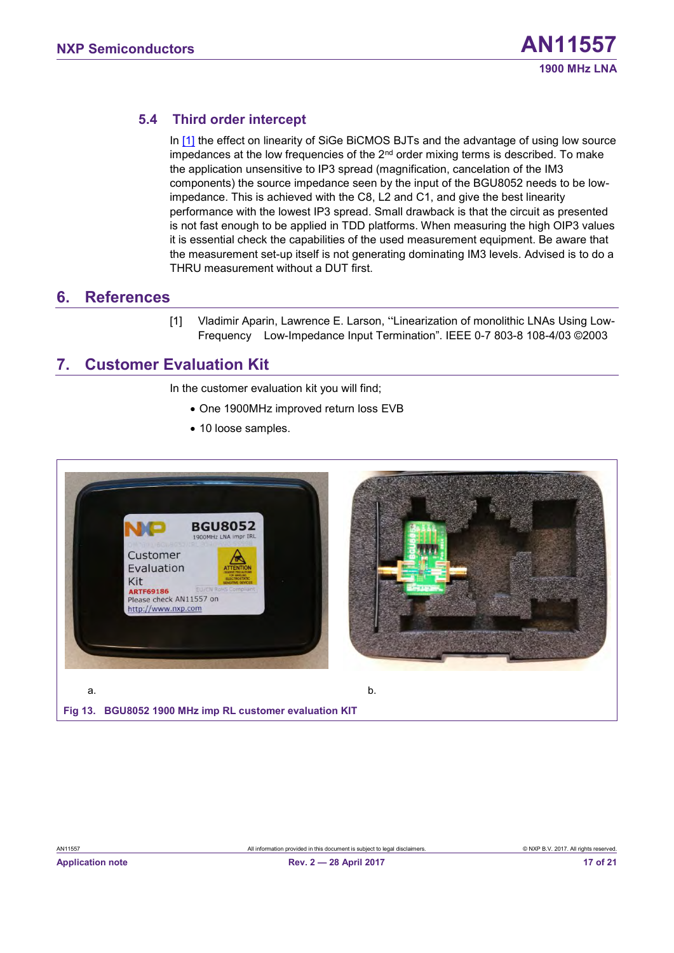#### <span id="page-16-2"></span>**5.4 Third order intercept**

In [\[1\]](#page-16-0) the effect on linearity of SiGe BiCMOS BJTs and the advantage of using low source impedances at the low frequencies of the  $2<sup>nd</sup>$  order mixing terms is described. To make the application unsensitive to IP3 spread (magnification, cancelation of the IM3 components) the source impedance seen by the input of the BGU8052 needs to be lowimpedance. This is achieved with the C8, L2 and C1, and give the best linearity performance with the lowest IP3 spread. Small drawback is that the circuit as presented is not fast enough to be applied in TDD platforms. When measuring the high OIP3 values it is essential check the capabilities of the used measurement equipment. Be aware that the measurement set-up itself is not generating dominating IM3 levels. Advised is to do a THRU measurement without a DUT first.

#### <span id="page-16-4"></span><span id="page-16-3"></span>**6. References**

<span id="page-16-0"></span>[1] Vladimir Aparin, Lawrence E. Larson, "Linearization of monolithic LNAs Using Low-Frequency Low-Impedance Input Termination". IEEE 0-7 803-8 108-4/03 ©2003

### **7. Customer Evaluation Kit**

In the customer evaluation kit you will find;

- One 1900MHz improved return loss EVB
- 10 loose samples.

<span id="page-16-1"></span>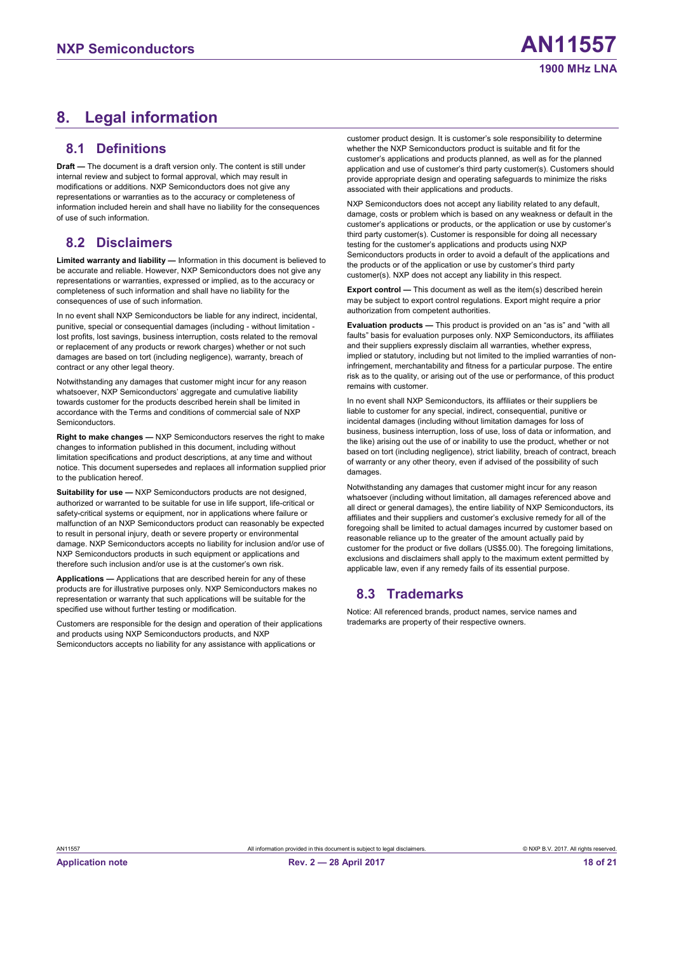# <span id="page-17-1"></span><span id="page-17-0"></span>**8. Legal information**

#### **8.1 Definitions**

<span id="page-17-2"></span>**Draft —** The document is a draft version only. The content is still under internal review and subject to formal approval, which may result in modifications or additions. NXP Semiconductors does not give any representations or warranties as to the accuracy or completeness of information included herein and shall have no liability for the consequences of use of such information.

#### **8.2 Disclaimers**

**Limited warranty and liability —** Information in this document is believed to be accurate and reliable. However, NXP Semiconductors does not give any representations or warranties, expressed or implied, as to the accuracy or completeness of such information and shall have no liability for the consequences of use of such information.

In no event shall NXP Semiconductors be liable for any indirect, incidental, punitive, special or consequential damages (including - without limitation lost profits, lost savings, business interruption, costs related to the removal or replacement of any products or rework charges) whether or not such damages are based on tort (including negligence), warranty, breach of contract or any other legal theory.

Notwithstanding any damages that customer might incur for any reason whatsoever, NXP Semiconductors' aggregate and cumulative liability towards customer for the products described herein shall be limited in accordance with the Terms and conditions of commercial sale of NXP **Semiconductors** 

**Right to make changes —** NXP Semiconductors reserves the right to make changes to information published in this document, including without limitation specifications and product descriptions, at any time and without notice. This document supersedes and replaces all information supplied prior to the publication hereof.

**Suitability for use - NXP Semiconductors products are not designed,** authorized or warranted to be suitable for use in life support, life-critical or safety-critical systems or equipment, nor in applications where failure or malfunction of an NXP Semiconductors product can reasonably be expected to result in personal injury, death or severe property or environmental damage. NXP Semiconductors accepts no liability for inclusion and/or use of NXP Semiconductors products in such equipment or applications and therefore such inclusion and/or use is at the customer's own risk.

**Applications —** Applications that are described herein for any of these products are for illustrative purposes only. NXP Semiconductors makes no representation or warranty that such applications will be suitable for the specified use without further testing or modification.

Customers are responsible for the design and operation of their applications and products using NXP Semiconductors products, and NXP Semiconductors accepts no liability for any assistance with applications or

customer product design. It is customer's sole responsibility to determine whether the NXP Semiconductors product is suitable and fit for the customer's applications and products planned, as well as for the planned application and use of customer's third party customer(s). Customers should provide appropriate design and operating safeguards to minimize the risks associated with their applications and products.

NXP Semiconductors does not accept any liability related to any default, damage, costs or problem which is based on any weakness or default in the customer's applications or products, or the application or use by customer's third party customer(s). Customer is responsible for doing all necessary testing for the customer's applications and products using NXP Semiconductors products in order to avoid a default of the applications and the products or of the application or use by customer's third party customer(s). NXP does not accept any liability in this respect.

**Export control —** This document as well as the item(s) described herein may be subject to export control regulations. Export might require a prior authorization from competent authorities.

**Evaluation products —** This product is provided on an "as is" and "with all faults" basis for evaluation purposes only. NXP Semiconductors, its affiliates and their suppliers expressly disclaim all warranties, whether express, implied or statutory, including but not limited to the implied warranties of noninfringement, merchantability and fitness for a particular purpose. The entire risk as to the quality, or arising out of the use or performance, of this product remains with customer.

In no event shall NXP Semiconductors, its affiliates or their suppliers be liable to customer for any special, indirect, consequential, punitive or incidental damages (including without limitation damages for loss of business, business interruption, loss of use, loss of data or information, and the like) arising out the use of or inability to use the product, whether or not based on tort (including negligence), strict liability, breach of contract, breach of warranty or any other theory, even if advised of the possibility of such damages.

<span id="page-17-3"></span>Notwithstanding any damages that customer might incur for any reason whatsoever (including without limitation, all damages referenced above and all direct or general damages), the entire liability of NXP Semiconductors, its affiliates and their suppliers and customer's exclusive remedy for all of the foregoing shall be limited to actual damages incurred by customer based on reasonable reliance up to the greater of the amount actually paid by customer for the product or five dollars (US\$5.00). The foregoing limitations, exclusions and disclaimers shall apply to the maximum extent permitted by applicable law, even if any remedy fails of its essential purpose.

#### **8.3 Trademarks**

Notice: All referenced brands, product names, service names and trademarks are property of their respective owners.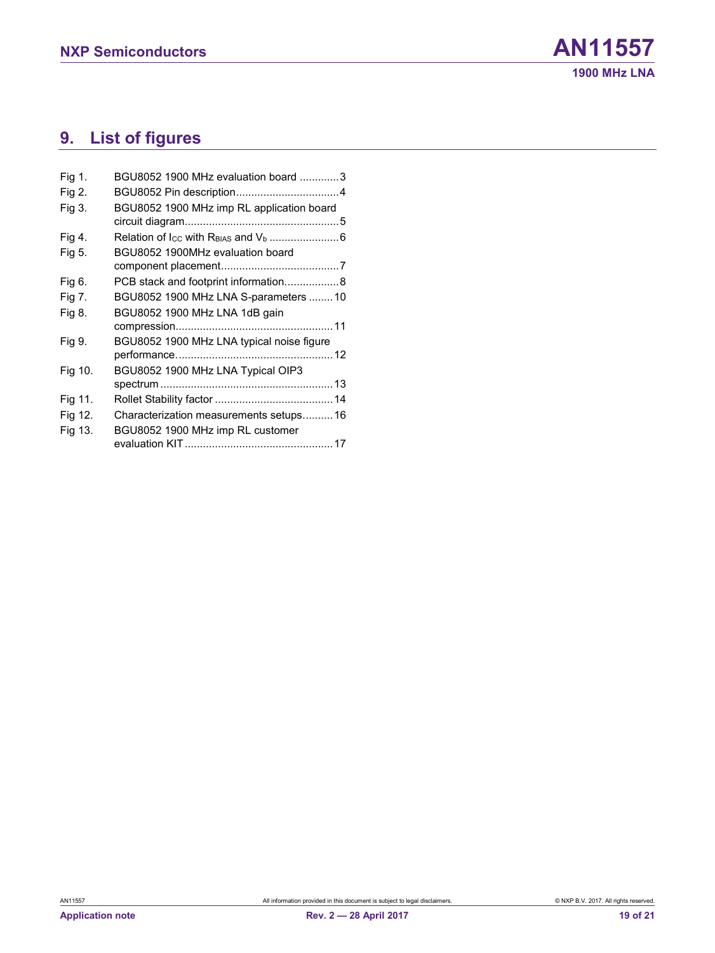# <span id="page-18-0"></span>**9. List of figures**

| Fig 1.  | BGU8052 1900 MHz evaluation board 3       |
|---------|-------------------------------------------|
| Fig 2.  |                                           |
| Fig 3.  | BGU8052 1900 MHz imp RL application board |
|         |                                           |
| Fig 4.  |                                           |
| Fig 5.  | BGU8052 1900MHz evaluation board          |
|         |                                           |
| Fig 6.  | PCB stack and footprint information8      |
| Fig 7.  | BGU8052 1900 MHz LNA S-parameters  10     |
| Fig 8.  | BGU8052 1900 MHz LNA 1dB gain             |
|         |                                           |
| Fig 9.  | BGU8052 1900 MHz LNA typical noise figure |
|         |                                           |
| Fig 10. | BGU8052 1900 MHz LNA Typical OIP3         |
|         |                                           |
| Fig 11. |                                           |
| Fig 12. | Characterization measurements setups 16   |
| Fig 13. | BGU8052 1900 MHz imp RL customer          |
|         |                                           |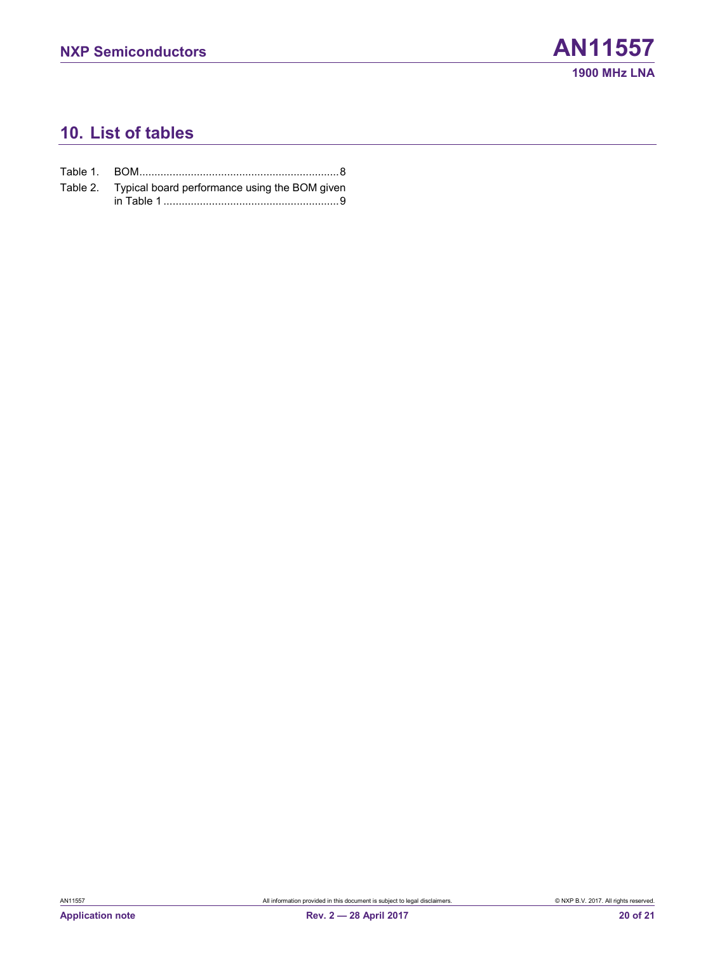# <span id="page-19-0"></span>**10. List of tables**

| Table 2. Typical board performance using the BOM given |
|--------------------------------------------------------|
|                                                        |